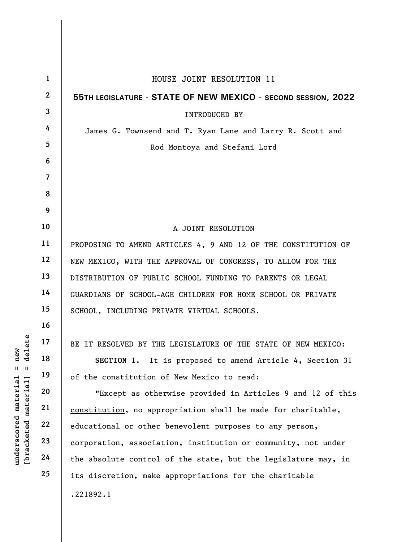|                                 | $\mathbf{1}$            | HOUSE JOINT RESOLUTION 11                                      |
|---------------------------------|-------------------------|----------------------------------------------------------------|
|                                 | $\overline{2}$          | 55TH LEGISLATURE - STATE OF NEW MEXICO - SECOND SESSION, 2022  |
|                                 | $\overline{\mathbf{3}}$ | <b>INTRODUCED BY</b>                                           |
|                                 | 4                       | James G. Townsend and T. Ryan Lane and Larry R. Scott and      |
|                                 | 5                       | Rod Montoya and Stefani Lord                                   |
|                                 | 6                       |                                                                |
|                                 | $\overline{7}$          |                                                                |
|                                 | 8                       |                                                                |
|                                 | 9                       |                                                                |
|                                 | 10                      | A JOINT RESOLUTION                                             |
|                                 | 11                      | PROPOSING TO AMEND ARTICLES 4, 9 AND 12 OF THE CONSTITUTION OF |
|                                 | 12                      | NEW MEXICO, WITH THE APPROVAL OF CONGRESS, TO ALLOW FOR THE    |
|                                 | 13                      | DISTRIBUTION OF PUBLIC SCHOOL FUNDING TO PARENTS OR LEGAL      |
|                                 | 14                      | GUARDIANS OF SCHOOL-AGE CHILDREN FOR HOME SCHOOL OR PRIVATE    |
|                                 | 15                      | SCHOOL, INCLUDING PRIVATE VIRTUAL SCHOOLS.                     |
|                                 | 16                      |                                                                |
| delete                          | 17                      | BE IT RESOLVED BY THE LEGISLATURE OF THE STATE OF NEW MEXICO:  |
| new                             | 18                      | SECTION 1. It is proposed to amend Article 4, Section 31       |
| $\mathbf{II}$<br>- II           | 19                      | of the constitution of New Mexico to read:                     |
| $\mathtt{material}$             | 20                      | "Except as otherwise provided in Articles 9 and 12 of this     |
| [ <del>bracketed material</del> | 21                      | constitution, no appropriation shall be made for charitable,   |
|                                 | 22                      | educational or other benevolent purposes to any person,        |
| $\bm{{\rm underscore}}$         | 23                      | corporation, association, institution or community, not under  |
|                                 | 24                      | the absolute control of the state, but the legislature may, in |
|                                 | 25                      | its discretion, make appropriations for the charitable         |
|                                 |                         | .221892.1                                                      |
|                                 |                         |                                                                |

 $\overline{\phantom{a}}$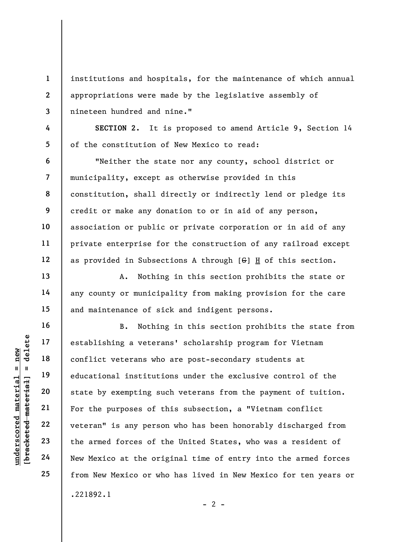institutions and hospitals, for the maintenance of which annual appropriations were made by the legislative assembly of nineteen hundred and nine."

SECTION 2. It is proposed to amend Article 9, Section 14 of the constitution of New Mexico to read:

"Neither the state nor any county, school district or municipality, except as otherwise provided in this constitution, shall directly or indirectly lend or pledge its credit or make any donation to or in aid of any person, association or public or private corporation or in aid of any private enterprise for the construction of any railroad except as provided in Subsections A through [G] H of this section.

A. Nothing in this section prohibits the state or any county or municipality from making provision for the care and maintenance of sick and indigent persons.

understablishing a vetera<br>
under 18<br>
educational institutions who<br>
educational institutions who<br>
educational institutions who<br>
educational institutions who<br>
state by exempting surface<br>
21<br>
Tor the purposes of the verse of B. Nothing in this section prohibits the state from establishing a veterans' scholarship program for Vietnam conflict veterans who are post-secondary students at educational institutions under the exclusive control of the state by exempting such veterans from the payment of tuition. For the purposes of this subsection, a "Vietnam conflict veteran" is any person who has been honorably discharged from the armed forces of the United States, who was a resident of New Mexico at the original time of entry into the armed forces from New Mexico or who has lived in New Mexico for ten years or .221892.1

1

2

3

4

5

6

7

8

9

10

11

12

13

14

15

16

17

18

19

20

21

22

23

24

25

 $- 2 -$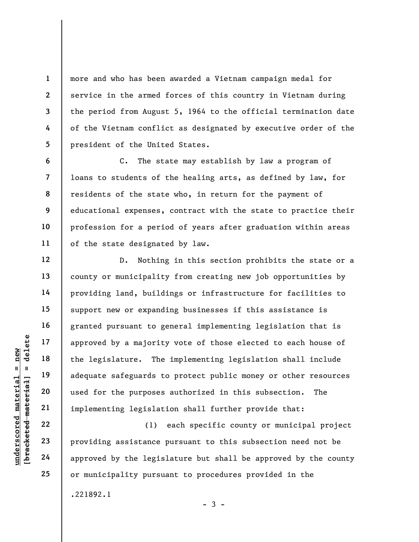more and who has been awarded a Vietnam campaign medal for service in the armed forces of this country in Vietnam during the period from August 5, 1964 to the official termination date of the Vietnam conflict as designated by executive order of the president of the United States.

C. The state may establish by law a program of loans to students of the healing arts, as defined by law, for residents of the state who, in return for the payment of educational expenses, contract with the state to practice their profession for a period of years after graduation within areas of the state designated by law.

under 17<br>
approved by a majorit<br>
the legislature. The<br>
dequate safeguards t<br>
adequate safeguards t<br>
used for the purposes<br>
implementing legislat<br>
22<br>
23<br>
providing assistance<br>
24<br>
approved by the legislat D. Nothing in this section prohibits the state or a county or municipality from creating new job opportunities by providing land, buildings or infrastructure for facilities to support new or expanding businesses if this assistance is granted pursuant to general implementing legislation that is approved by a majority vote of those elected to each house of the legislature. The implementing legislation shall include adequate safeguards to protect public money or other resources used for the purposes authorized in this subsection. The implementing legislation shall further provide that:

(1) each specific county or municipal project providing assistance pursuant to this subsection need not be approved by the legislature but shall be approved by the county or municipality pursuant to procedures provided in the .221892.1  $-3 -$ 

22 23 24

25

1

2

3

4

5

6

7

8

9

10

11

12

13

14

15

16

17

18

19

20

21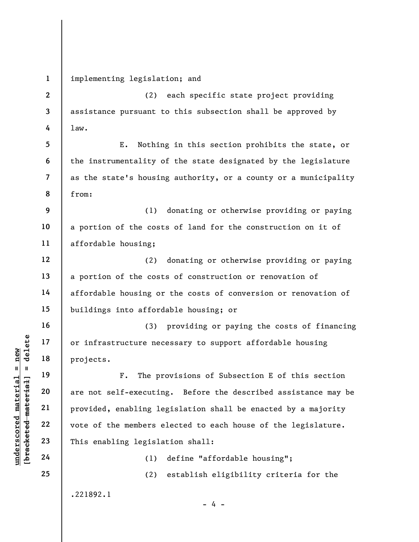4 5 6 7 8 9 10 11 12 13 law. the instrumentality of the state designated by the legislature as the state's housing authority, or a county or a municipality from: a portion of the costs of land for the construction on it of affordable housing;

14

15

16

17

18

19

20

21

22

23

24

25

1

implementing legislation; and

2

3

a portion of the costs of construction or renovation of affordable housing or the costs of conversion or renovation of buildings into affordable housing; or (3) providing or paying the costs of financing

or infrastructure necessary to support affordable housing projects.

underscored material projects.<br>
F. The projects.<br>
F. The projects.<br>
F. The projects.<br>
F. The provided, enabling less<br>
whole the members e<br>
23<br>
This enabling legisla<br>
24<br>
(1) F. The provisions of Subsection E of this section are not self-executing. Before the described assistance may be provided, enabling legislation shall be enacted by a majority vote of the members elected to each house of the legislature. This enabling legislation shall:

(1) define "affordable housing";

 $- 4 -$ 

(2) establish eligibility criteria for the

(2) each specific state project providing

E. Nothing in this section prohibits the state, or

(1) donating or otherwise providing or paying

(2) donating or otherwise providing or paying

assistance pursuant to this subsection shall be approved by

.221892.1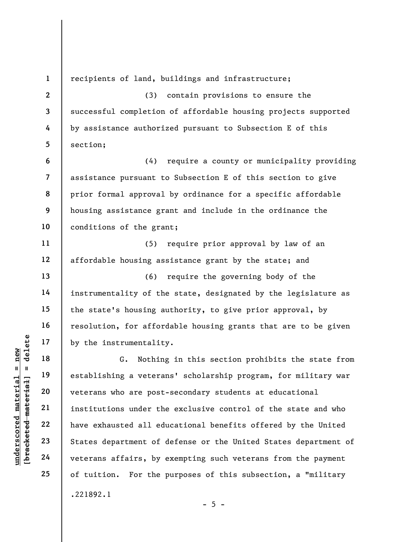3 4 5

11

12

13

14

15

16

17

18

19

20

21

22

23

24

25

1

2

recipients of land, buildings and infrastructure;

(3) contain provisions to ensure the successful completion of affordable housing projects supported by assistance authorized pursuant to Subsection E of this section;

6 7 8 9 10 (4) require a county or municipality providing assistance pursuant to Subsection E of this section to give prior formal approval by ordinance for a specific affordable housing assistance grant and include in the ordinance the conditions of the grant;

(5) require prior approval by law of an affordable housing assistance grant by the state; and

(6) require the governing body of the instrumentality of the state, designated by the legislature as the state's housing authority, to give prior approval, by resolution, for affordable housing grants that are to be given by the instrumentality.

under 17<br>
= 18<br>
= 18<br>
= 19<br>
= 19<br>
= 19<br>
= 19<br>
= 19<br>
= 19<br>
= 19<br>
= 19<br>
= 19<br>
= 19<br>
= 19<br>
= 19<br>
= 19<br>
= 19<br>
= 19<br>
= 11<br>
= 11<br>
= 11<br>
= 11<br>
= 11<br>
= 11<br>
= 11<br>
= 11<br>
= 11<br>
= 11<br>
= 11<br>
= 11<br>
= 11<br>
= 11<br>
= 11<br>
= 11<br>
= 11<br>
= 11<br>
= G. Nothing in this section prohibits the state from establishing a veterans' scholarship program, for military war veterans who are post-secondary students at educational institutions under the exclusive control of the state and who have exhausted all educational benefits offered by the United States department of defense or the United States department of veterans affairs, by exempting such veterans from the payment of tuition. For the purposes of this subsection, a "military .221892.1

 $- 5 -$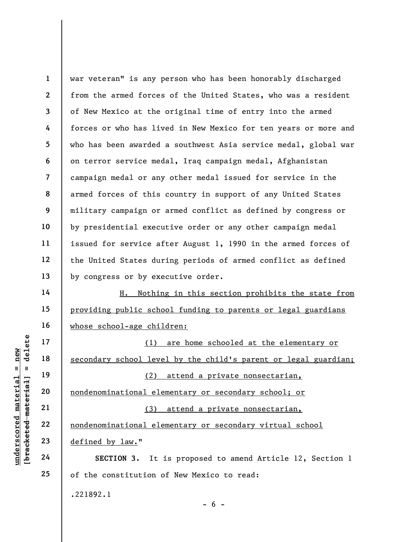1 2 3 4 5 6 7 8 9 10 11 12 13 war veteran" is any person who has been honorably discharged from the armed forces of the United States, who was a resident of New Mexico at the original time of entry into the armed forces or who has lived in New Mexico for ten years or more and who has been awarded a southwest Asia service medal, global war on terror service medal, Iraq campaign medal, Afghanistan campaign medal or any other medal issued for service in the armed forces of this country in support of any United States military campaign or armed conflict as defined by congress or by presidential executive order or any other campaign medal issued for service after August 1, 1990 in the armed forces of the United States during periods of armed conflict as defined by congress or by executive order.

H. Nothing in this section prohibits the state from providing public school funding to parents or legal guardians whose school-age children:

underschool of the Material of the Material of the Material of the Material of the Material Secondary school lever<br>defined the Material Participal of the Material Contraction of the Material Contraction of the Material Con (1) are home schooled at the elementary or secondary school level by the child's parent or legal guardian; (2) attend a private nonsectarian, nondenominational elementary or secondary school; or (3) attend a private nonsectarian, nondenominational elementary or secondary virtual school defined by law."

SECTION 3. It is proposed to amend Article 12, Section 1 of the constitution of New Mexico to read:

 $- 6 -$ 

.221892.1

14

15

16

17

18

19

20

21

22

23

24

25